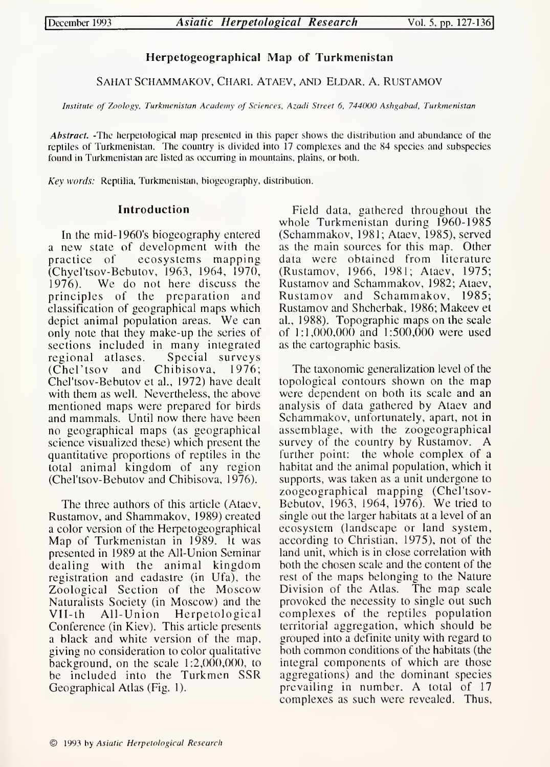# Herpetogeographical Map of Turkmenistan

SAHAT SCHAMMAKOV, CHARI. ATAEV, AND ELDAR. A. RUSTAMOV

Institute of Zoology, Turkmenistan Academy of Sciences, Azadi Street 6, 744000 Ashgabad, Turkmenistan

Abstract. -The herpetological map presented in this paper shows the distribution and abundance of the reptiles of Turkmenistan. The country is divided into <sup>17</sup> complexes and the 84 species and subspecies found in Turkmenistan are listed as occurring in mountains, plains, or both.

Key words: Reptilia, Turkmenistan, biogeography, distribution.

# Introduction

In the mid-1960's biogeography entered a new state of development with the<br>practice of ecosystems mapping ecosystems mapping (Chyel'tsov-Bebutov, 1963, 1964, 1970, We do not here discuss the principles of the preparation and classification of geographical maps which depict animal population areas. We can only note that they make-up the series of sections included in many integrated<br>regional atlases. Special surveys regional atlases. Special surveys (Chel'tsov and Chibisova, Chel'tsov-Bebutov et al., 1972) have dealt with them as well. Nevertheless, the above mentioned maps were prepared for birds and mammals. Until now there have been no geographical maps (as geographical science visualized these) which present the quantitative proportions of reptiles in the total animal kingdom of any region (Chel'tsov-Bebutov and Chibisova, 1976).

The three authors of this article (Ataev, Rustamov, and Shammakov, 1989) created a color version of the Herpetogeographical Map of Turkmenistan in 1989. It was presented in 1989 at the All-Union Seminar dealing with the animal kingdom registration and cadastre (in Ufa), the Zoological Section of the Moscow Naturalists Society (in Moscow) and the All-Union Herpetological Conference (in Kiev). This article presents a black and white version of the map, giving no consideration to color qualitative background, on the scale 1:2,000,000, to be included into the Turkmen SSR Geographical Atlas (Fig. 1).

Field data, gathered throughout the whole Turkmenistan during 1960-1985 (Schammakov, 1981; Ataev, 1985), served as the main sources for this map. Other data were obtained from literature (Rustamov, 1966, 1981; Ataev, 1975; Rustamov and Schammakov, 1982; Ataev, Rustamov and Schammakov, 1985; Rustamov and Shcherbak, 1986; Makeev et al., 1988). Topographic maps on the scale of 1:1,000,000 and 1:500,000 were used as the cartographic basis.

The taxonomic generalization level of the topological contours shown on the map were dependent on both its scale and an analysis of data gathered by Ataev and Schammakov, unfortunately, apart, not in assemblage, with the zoogeographical survey of the country by Rustamov. A further point: the whole complex of <sup>a</sup> habitat and the animal population, which it supports, was taken as <sup>a</sup> unit undergone to zoogeographical mapping (Chel'tsov-Bebutov, 1963, 1964, 1976). We tried to single out the larger habitats at <sup>a</sup> level of an ecosystem (landscape or land system, according to Christian, 1975), not of the land unit, which is in close correlation with both the chosen scale and the content of the rest of the maps belonging to the Nature Division of the Atlas. The map scale provoked the necessity to single out such complexes of the reptiles population territorial aggregation, which should be grouped into <sup>a</sup> definite unity with regard to both common conditions of the habitats (the integral components of which are those aggregations) and the dominant species prevailing in number. A total of <sup>17</sup> complexes as such were revealed. Thus,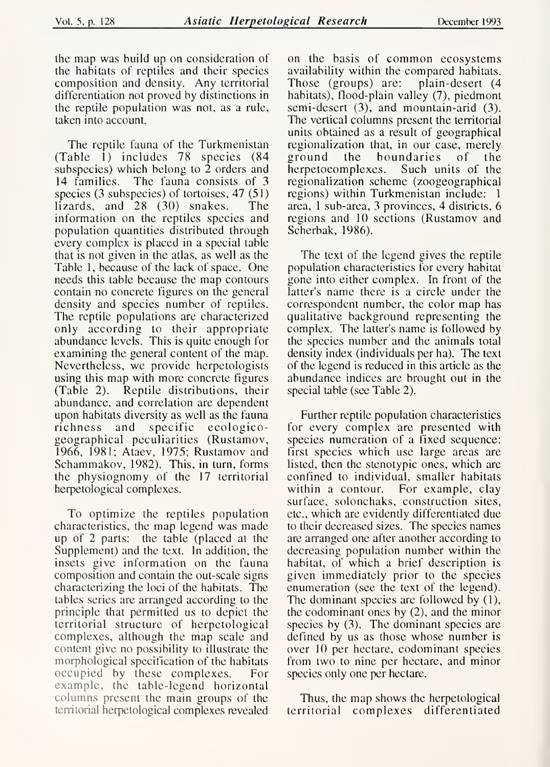the map was build up on consideration of the habitats of reptiles and their species composition and density. Any territorial differentiation not proved by distinctions in the reptile population was not, as <sup>a</sup> rule, taken into account.

The reptile fauna of the Turkmenistan regionali<br>able 1) includes 78 species (84 ground (Table 1) includes 78 species (84 subspecies) which belong to 2 orders and 14 families. The fauna consists of 3 The fauna consists of 3 species (3 subspecies) of tortoises, 47 (51)<br>lizards, and 28 (30) snakes. The lizards, and  $28$  (30) snakes. information on the reptiles species and population quantities distributed through every complex is placed in a special table that is not given in the atlas, as well as the Table 1, because of the lack of space. One needs this table because the map contours contain no concrete figures on the general density and species number of reptiles. The reptile populations are characterized only according to their appropriate abundance levels. This is quite enough for examining the general content of the map. Nevertheless, we provide herpetologists using this map with more concrete figures<br>(Table 2). Reptile distributions, their Reptile distributions, their abundance, and correlation are dependent upon habitats diversity as well as the fauna richness and specific ecologicogeographical peculiarities (Rustamov, 1966, 1981; Ataev, 1975; Rustamov and Schammakov, 1982). This, in turn, forms the physiognomy of the 17 territorial herpetological complexes.

To optimize the reptiles population characteristics, the map legend was made up of 2 parts: the table (placed at the Supplement) and the text. In addition, the insets give information on the fauna composition and contain the out-scale signs characterizing the loci of the habitats. The tables series are arranged according to the principle that permitted us to depict the territorial structure of herpetological complexes, although the map scale and content give no possibility to illustrate the morphological specification of the habitats<br>occupied by these complexes. For occupied by these complexes. example, the table-legend horizontal columns present the main groups of the territorial herpetological complexes revealed

on the basis of common ecosystems availability within the compared habitats. Those (groups) are: habitats), flood-plain valley (7), piedmont semi-desert (3), and mountain-arid (3). The vertical columns present the territorial units obtained as <sup>a</sup> result of geographical regionalization that, in our case, merely<br>ground the boundaries of the ground the boundaries of<br>herpetoeomplexes. Such units o Such units of the regionalization scheme (zoogeographical regions) within Turkmenistan include: <sup>1</sup> area, <sup>1</sup> sub-area, <sup>3</sup> provinces, 4 districts, 6 regions and 10 sections (Rustamov and Scherbak, 1986).

The text of the legend gives the reptile population characteristics for every habitat gone into either complex. In front of the latter's name there is a circle under the correspondent number, the color map has qualitative background representing the complex. The latter's name is followed by the species number and the animals total density index (individuals per ha). The text of the legend is reduced in this article as the abundance indices are brought out in the special table (see Table 2).

Further reptile population characteristics for every complex are presented with species numeration of <sup>a</sup> fixed sequence: first species which use large areas are listed, then the stenotypic ones, which are confined to individual, smaller habitats within <sup>a</sup> contour. For example, clay surface, solonchaks, construction sites, etc., which are evidently differentiated due to their decreased sizes. The species names are arranged one after another according to decreasing population number within the habitat, of which <sup>a</sup> brief description is given immediately prior to the species enumeration (see the text of the legend). The dominant species are followed by (1), the codominant ones by (2), and the minor species by (3). The dominant species are defined by us as those whose number is over 10 per hectare, codominant species from two to nine per hectare, and minor species only one per hectare.

Thus, the map shows the herpetological territorial complexes differentiated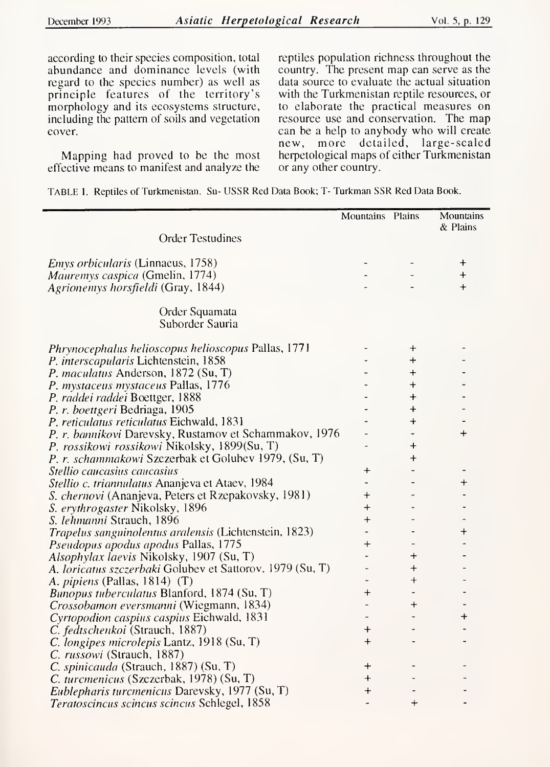according to their species composition, total abundance and dominance levels (with regard to the species number) as well as principle features of the territory's morphology and its ecosystems structure, including the pattern of soils and vegetation cover.

Mapping had proved to be the most effective means to manifest and analyze the

reptiles population richness throughout the country. The present map can serve as the data source to evaluate the actual situation with the Turkmenistan reptile resources, or to elaborate the practical measures on resource use and conservation. The map can be <sup>a</sup> help to anybody who will create new, more detailed, large-scaled herpetological maps of either Turkmenistan or any other country.

TABLE 1. Reptiles of Turkmenistan. Su- USSR Red Data Book; T- Turkman SSR Red Data Book.

|                                                           | Mountains Plains         |              | Mountains<br>& Plains    |
|-----------------------------------------------------------|--------------------------|--------------|--------------------------|
| <b>Order Testudines</b>                                   |                          |              |                          |
| <i>Emys orbicularis</i> (Linnaeus, 1758)                  |                          |              | $\ddot{}$                |
| Mauremys caspica (Gmelin, 1774)                           |                          |              | $+$                      |
| Agrionemys horsfieldi (Gray, 1844)                        |                          |              | $\ddag$                  |
| Order Squamata                                            |                          |              |                          |
| Suborder Sauria                                           |                          |              |                          |
| Phrynocephalus helioscopus helioscopus Pallas, 1771       |                          | $\mathrm{+}$ |                          |
| P. interscapularis Liehtenstein, 1858                     |                          | $\div$       |                          |
| P. maculatus Anderson, 1872 (Su, T)                       |                          | $\,{}^+$     |                          |
| P. mystaceus mystaceus Pallas, 1776                       |                          | $\pm$        |                          |
| P. raddei raddei Boettger, 1888                           |                          | $\bm{+}$     |                          |
| P. r. boettgeri Bedriaga, 1905                            |                          | $\pmb{+}$    |                          |
| P. reticulatus reticulatus Eichwald, 1831                 |                          | $\pm$        |                          |
| P. r. bannikovi Darevsky, Rustamov et Schammakov, 1976    |                          |              | $\div$                   |
| P. rossikowi rossikowi Nikolsky, 1899(Su, T)              |                          | $\pmb{+}$    |                          |
| P. r. schammakowi Szezerbak et Golubev 1979, (Su, T)      |                          | $\pmb{+}$    |                          |
| Stellio caucasius caucasius                               | $\bm{+}$                 |              |                          |
| Stellio c. triannulatus Ananjeva et Ataev, 1984           |                          |              | $\mathrm{+}$             |
| S. chernovi (Ananjeva, Peters et Rzepakovsky, 1981)       | $\pm$                    |              | $\overline{a}$           |
| S. erythrogaster Nikolsky, 1896                           | $\,{}^+$                 |              | ٠                        |
| S. lehmanni Strauch, 1896                                 | $\ddot{}$                |              |                          |
| Trapelus sanguinolentus aralensis (Lichtenstein, 1823)    |                          |              | $^{+}$                   |
| <i>Pseudopus apodus apodus Pallas, 1775</i>               | $\mathrm{+}$             |              |                          |
| Alsophylax laevis Nikolsky, 1907 (Su, T)                  |                          | $\mathrm{+}$ |                          |
| A. loricatus szczerbaki Golubev et Sattorov, 1979 (Su, T) | $\qquad \qquad -$        | $\,{}^+$     |                          |
| A. <i>pipiens</i> (Pallas, 1814) $(T)$                    |                          | $\,{}^+$     |                          |
| Bunopus tuberculatus Blanford, 1874 (Su, T)               | $^+$                     |              |                          |
| Crossobamon eversmanni (Wiegmann, 1834)                   |                          | $^+$         | $\overline{\phantom{0}}$ |
| Cyrtopodion caspius caspius Eiehwald, 1831                |                          |              | $\pmb{+}$                |
| C. fedtschenkoi (Strauch, 1887)                           | $\pm$                    |              | $\overline{\phantom{0}}$ |
| C. longipes microlepis Lantz, 1918 (Su, T)                | $^{+}$                   |              |                          |
| C. russowi (Strauch, 1887)                                |                          |              |                          |
| C. spinicauda (Strauch, 1887) (Su, T)                     | $\mathrm{+}$             |              |                          |
| C. turcmenicus (Szezerbak, 1978) (Su, T)                  | $\bm{+}$                 |              |                          |
| Eublepharis turcmenicus Darevsky, 1977 (Su, T)            | $\ddot{}$                |              |                          |
| Teratoscincus scincus scincus Schlegel, 1858              | $\overline{\phantom{m}}$ | $\bm{+}$     | $\overline{\phantom{0}}$ |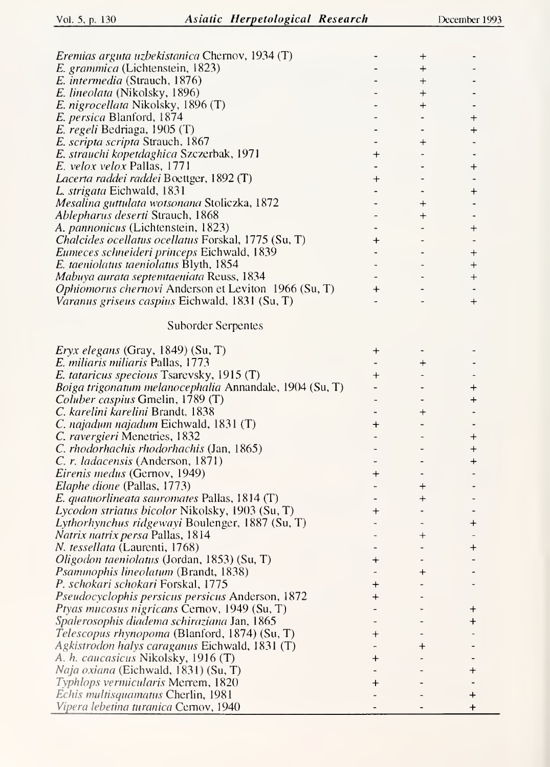| Eremias arguta uzbekistanica Chernov, 1934 (T)              |           | $\bm{+}$     |                          |
|-------------------------------------------------------------|-----------|--------------|--------------------------|
| E. grammica (Lichtenstein, 1823)                            |           | $\div$       |                          |
| <i>E. intermedia</i> (Strauch, 1876)                        |           | $\mathrm{+}$ |                          |
| <i>E. lineolata</i> (Nikolsky, 1896)                        |           | $\mathrm{+}$ |                          |
| E. nigrocellata Nikolsky, 1896 (T)                          |           | $\mathrm{+}$ |                          |
| E. persica Blanford, 1874                                   |           |              | $\mathrm{+}$             |
| E. regeli Bedriaga, 1905 (T)                                |           |              | $\bm{+}$                 |
| E. scripta scripta Strauch, 1867                            |           | $\mathrm{+}$ |                          |
| E. strauchi kopetdaghica Szczerbak, 1971                    | $\bm{+}$  |              |                          |
| E. velox velox Pallas, 1771                                 |           |              |                          |
|                                                             |           |              | $\bm{+}$                 |
| Lacerta raddei raddei Boettger, 1892 (T)                    | $\bm{+}$  |              |                          |
| L. strigata Eichwald, 1831                                  |           |              | $\ddot{}$                |
| Mesalina guttulata wotsonana Stoliczka, 1872                |           | $\bm{+}$     |                          |
| Ablepharus deserti Strauch, 1868                            |           | $\,{}^+$     |                          |
| A. <i>pannonicus</i> (Lichtenstein, 1823)                   |           |              | $^{+}$                   |
| Chalcides ocellatus ocellatus Forskal, 1775 (Su, T)         | $\ddot{}$ |              |                          |
| Eumeces schneideri princeps Eichwald, 1839                  |           |              | $^{+}$                   |
| E. taeniolatus taeniolatus Blyth, 1854                      |           |              | $^{+}$                   |
| Mabuya aurata septentaeniata Reuss, 1834                    |           |              | $\ddot{}$                |
| <i>Ophiomorus chernovi</i> Anderson et Leviton 1966 (Su, T) | $\ddot{}$ |              |                          |
| Varanus griseus caspius Eichwald, 1831 (Su, T)              |           |              | $^{+}$                   |
|                                                             |           |              |                          |
| <b>Suborder Serpentes</b>                                   |           |              |                          |
| <i>Eryx elegans</i> (Gray, 1849) (Su, T)                    | $^{+}$    |              |                          |
| E. miliaris miliaris Pallas, 1773                           |           | $\ddot{}$    |                          |
| E. tataricus specious Tsarevsky, 1915 (T)                   | $\pm$     |              |                          |
| Boiga trigonatum melanocephalia Annandale, 1904 (Su, T)     |           |              | $\, +$                   |
| Coluber caspius Gmelin, 1789 (T)                            |           |              | $\ddot{}$                |
|                                                             |           |              |                          |
| C. karelini karelini Brandt, 1838                           |           | $\mathrm{+}$ |                          |
| C. najadum najadum Eichwald, 1831 (T)                       | $\ddag$   |              |                          |
| <i>C. ravergieri</i> Menetries, 1832                        |           |              | $^+$                     |
| <i>C. rhodorhachis rhodorhachis</i> (Jan, 1865)             |           |              | $\div$                   |
| C. r. ladacensis (Anderson, 1871)                           |           |              | $\div$                   |
| <i>Eirenis medus</i> (Gernov, 1949)                         | $\,{}^+$  |              |                          |
| <i>Elaphe dione</i> (Pallas, 1773)                          |           | $\div$       |                          |
| $E.$ quatuorlineata sauromates Pallas, 1814 (T)             |           | $\,{}^+$     | $\overline{\phantom{a}}$ |
| Lycodon striatus bicolor Nikolsky, 1903 (Su, T)             | $^{+}$    |              |                          |
| Lythorhynchus ridgewayi Boulenger, 1887 (Su, T)             |           |              | $\bm{+}$                 |
| <i>Natrix natrix persa Pallas, 1814</i>                     |           | $\,{}^+$     |                          |
| <i>N. tessellata</i> (Laurenti, 1768)                       |           |              | ┿                        |
| Oligodon taeniolatus (Jordan, 1853) (Su, T)                 | +         |              |                          |
| <i>Psammophis lineolatum</i> (Brandt, 1838)                 |           | ┿            |                          |
| P. schokari schokari Forskal, 1775                          | ۰         |              |                          |
| Pseudocyclophis persicus persicus Anderson, 1872            | +         |              |                          |
| Ptyas mucosus nigricans Cernov, 1949 (Su, T)                |           |              | ┿                        |
| <i>Spalerosophis diadema schiraziana Jan, 1865</i>          |           |              | $\pmb{+}$                |
| <i>Telescopus rhynopoma</i> (Blanford, 1874) (Su, T)        | ┿         |              |                          |
| <i>Agkistrodon halys caraganus Eichwald, 1831 (T)</i>       |           | +            |                          |
| A. h. caucasicus Nikolsky, 1916 (T)                         | ╋         |              |                          |
| <i>Naja oxiana</i> (Eichwald, 1831) (Su, T)                 |           |              | ╈                        |
| Typhlops vermicularis Merrem, 1820                          | ٠         |              |                          |
| Echis multisquamatus Cherlin, 1981                          |           |              |                          |
|                                                             |           |              | $\pmb{+}$                |
| Vipera lebetina turanica Cernov, 1940                       |           |              | $\ddot{}$                |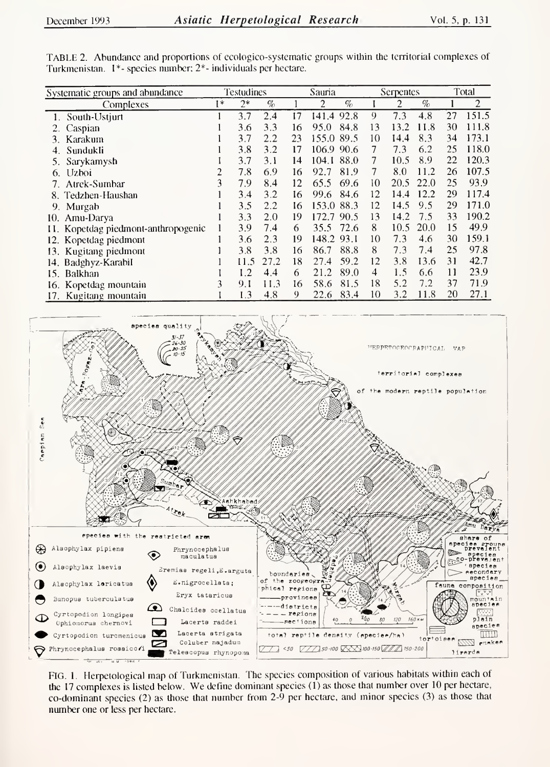| Systematic groups and abundance     |      | Testudines |      |    | Sauria     |            | Serpentes      |      |    | Total          |  |
|-------------------------------------|------|------------|------|----|------------|------------|----------------|------|----|----------------|--|
| Complexes                           | $1*$ | $2*$       | $\%$ |    | 2          | $\%$       | $\overline{2}$ | $\%$ |    | $\overline{2}$ |  |
| 1. South-Ustjurt                    |      | 3.7        | 2.4  | 17 | 141.4      | 0<br>92.8  | 7.3            | 4.8  | 27 | 151.5          |  |
| 2. Caspian                          |      | 3.6        | 3.3  | 16 | 95.0       | 84.8<br>13 | 13.2           | 11.8 | 30 | 111.8          |  |
| Karakum<br>3.                       |      | 3.7        | 2.2  | 23 | 155.0      | 89.5<br>10 | 14.4           | 8.3  | 34 | 173.1          |  |
| Sundukli                            |      | 3.8        | 3.2  | 17 | 106.9      | 90.6       | 7.3            | 6.2  | 25 | 118.0          |  |
| Sarykamysh<br>5.                    |      | 3.7        | 3.1  | 14 | 104.1      | 88.0<br>7  | 10.5           | 8.9  | 22 | 120.3          |  |
| 6. Uzboi                            | 2    | 7.8        | 6.9  | 16 | 92.7       | 81.9<br>7  | 8.0            | 11.2 | 26 | 107.5          |  |
| 7. Atrek-Sumbar                     | 3    | 7.9        | 8.4  | 12 | 65.5       | 69.6<br>10 | 20.5           | 22.0 | 25 | 93.9           |  |
| 8. Tedzhen-Haushan                  |      | 3.4        | 3.2  | 16 | 99.6       | 84.6<br>12 | 14.4           | 12.2 | 29 | 117.4          |  |
| 9. Murgab                           |      | 3.5        | 2.2  | 16 | 153.0      | 88.3<br>12 | 14.5           | 9.5  | 29 | 171.0          |  |
| 10. Amu-Darya                       |      | 3.3        | 2.0  | 19 | 172.7      | 90.5<br>13 | 14.2           | 7.5  | 33 | 190.2          |  |
| 11. Kopetdag piedmont-anthropogenic |      | 3.9        | 7.4  | 6  | 35.5       | 72.6<br>8  | 10.5           | 20.0 | 15 | 49.9           |  |
| 12. Kopetdag piedmont               |      | 3.6        | 2.3  | 19 | 148.2 93.1 | 10         | 7.3            | 4.6  | 30 | 159.1          |  |
| 13. Kugitang piedmont               |      | 3.8        | 3.8  | 16 | 86.7       | 88.8<br>8  | 7.3            | 7.4  | 25 | 97.8           |  |
| 14. Badghyz-Karabil                 |      | 11.5       | 27.2 | 18 | 27.4       | 59.2<br>12 | 3.8            | 13.6 | 31 | 42.7           |  |
| 15. Balkhan                         |      | 1.2        | 4.4  | 6  | 21.2       | 89.0<br>4  | 1.5            | 6.6  | 11 | 23.9           |  |
| 16. Kopetdag mountain               | 3    | 9.1        | 11.3 | 16 | 58.6       | 18<br>81.5 | 5.2            | 7.2  | 37 | 71.9           |  |
| 17. Kugitang mountain               |      | 1.3        | 4.8  | 9  | 22.6       | 10<br>83.4 | 3.2            | 11.8 | 20 | 27.1           |  |





FIG. 1. Herpetological map of Turkmenistan. The species composition of various habitats within each of the 17 complexes is listed below. We define dominant species (1) as those that number over 10 per hectare, co-dominant species (2) as those that number from 2-9 per hectare, and minor species (3) as those that number one or less per hectare.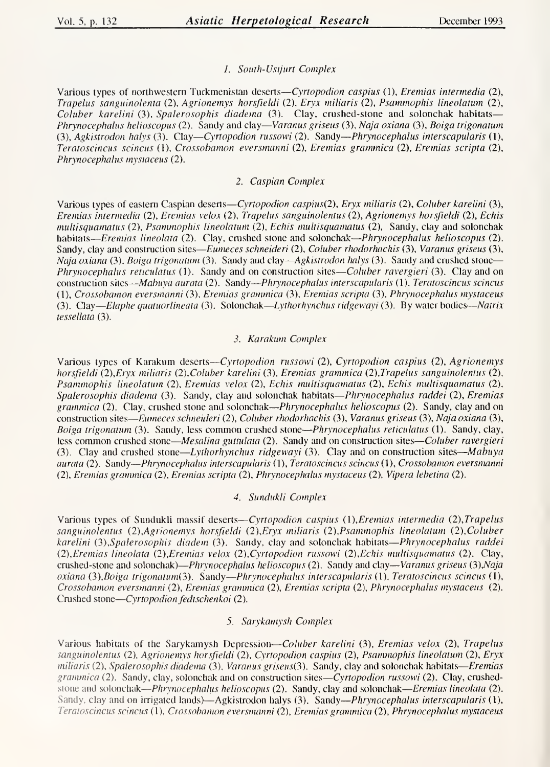# 1. South-Ustjurt Complex

Various types of northwestern Turkmenistan deserts—Cyrtopodion caspius (1), Eremias intermedia (2), Trapelus sanguinolenta (2), Agrionemys horsfieldi (2), Eryx miliaris (2), Psammophis lineolatum (2), Coluber karelini (3), Spalerosophis diadema (3). Clay, crushed-stone and solonchak habitats— Phrynocephalus helioscopus (2). Sandy and clay—Varanus griseus (3), Naja oxiana (3), Boiga trigonatum (3), Agkistrodon halys (3). Clay—Cyrtopodion russowi (2). Sandy—Phrynocephalus interscapularis (1), Teratoscincus scincus (1), Crossobamon eversmanni (2), Eremias grammica (2), Eremias scripta (2), Phrynocephalus mystaceus (2).

## 2. Caspian Complex

Various types of eastern Caspian deserts—Cyrtopodion caspius(2), Eryx miliaris (2), Coluber karelini (3), Eremias intermedia (2), Eremias velox (2), Trapelus sanguinolentus (2), Agrionemys horsfieldi (2), Echis multisquamatus (2), Psammophis lineolatum (2), Echis multisquamatus (2), Sandy, clay and solonchak habitats—Eremias lineolata (2). Clay, crushed stone and solonchak—Phrynocephalus helioscopus (2). Sandy, clay and construction sites—Eumeces schneideri (2), Coluber rhodorhachis (3), Varanus griseus (3), Naja oxiana (3), Boiga trigonatum (3). Sandy and clay—Agkistrodon halys (3). Sandy and crushed stone— *Phrynocephalus reticulatus* (1). Sandy and on construction sites—*Coluber ravergieri* (3). Clay and on construction sites—Mabuya aurata (2). Sandy—Phrynocephalus interscapularis (1), Teratoscincus scincus (1), Crossobamon eversmanni (3), Eremias grammica (3), Eremias scripta (3), Phrynocephalus mystaceus (3). Clay—Elaphe quatuorlineata (3). Solonchak—Lythorhynchus ridgewayi (3). By water bodies—Natrix tessellata (3).

## 3. Karakum Complex

Various types of Karakum deserts—Cyrtopodion russowi (2), Cyrtopodion caspius (2), Agrionemys horsfieldi (2),Eryx miliaris (2),Coluber karelini (3), Eremias grammica (2),Trapelus sanguinolentus (2), Psammophis lineolatum (2), Eremias velox (2), Echis multisquamatus (2), Echis multisquamatus (2), Spalerosophis diadema (3). Sandy, clay and solonchak habitats—Phrynocephalus raddei (2), Eremias grammica (2). Clay, crushed stone and solonchak—*Phrynocephalus helioscopus* (2). Sandy, clay and on construction sites—Eumeces schneideri (2), Coluber rhodorhachis (3), Varanus griseus (3), Naja oxiana (3), Boiga trigonatum (3). Sandy, less common crushed stone—Phrynocephalus reticulatus (1). Sandy, clay, less common crushed stone—Mesalina guttulata (2). Sandy and on construction sites—Coluber ravergieri (3). Clay and crushed stone—Lythorhynchus ridgewayi (3). Clay and on construction sites—Mabuya aurata (2). Sandy—Phiynocephalus interscapularis (I), Teratoscincus scincus (1), Crossobamon eversmanni (2), Eremias grammica (2), Eremias scripta (2), Phrynocephalus mystaceus (2), Vipera lebetina (2).

## 4. Sundukli Complex

Various types of Sundukli massif deserts—Cyrtopodion caspius (I), Eremias intermedia (2),Trapelus sanguinolentus (2),Agrionemys horsfieldi (2),Eryx miliaris (2), Psammophis lineolatum (2),Coluber karelini (3), Spalerosophis diadem (3). Sandy, clay and solonchak habitats—Phrynocephalus raddei (2), Eremias lineolata (2),Eremias velox (2),Cyrtopodion russowi (2),Echis multisquamatus (2). Clay, crushed-stone and solonchak)—*Phrynocephalus helioscopus* (2). Sandy and clay—*Varanus griseus* (3),Naja oxiana (3), Boiga trigonatum(3). Sandy—Phrynocephalus interscapularis (1), Teratoscincus scincus (1), Crossobamon eversmanni (2), Eremias grammica (2), Eremias scripta (2), Phrynocephalus mystaceus (2). Crushed stone—Cyrtopodion fedtschenkoi (2).

# 5. Sarykamysh Complex

Various habitats of the Sarykamysh Depression—Coluber karelini (3), Eremias velox (2), Trapelus sanguinolentus (2), Agrionemys horsfieldi (2), Cyrtopodion caspius (2), Psammophis lineolatum (2), Eryx  $miliaris$  (2), Spalerosophis diadema (3), Varanus griseus(3). Sandy, clay and solonchak habitats—Eremias grammica (2). Sandy, clay, solonchak and on construction sites—Cyrtopodion russowi (2). Clay, crushedstone and solonchak—Phrynocephalus helioscopus (2). Sandy, clay and solonchak—Eremias lineolata (2). Sandy, clay and on irrigated lands)—Agkistrodon halys (3). Sandy—Phrynocephalus interscapularis (1), Teratoscincus scincus (1), Crossobamon eversmanni (2), Eremias grammica (2), Phrynocephalus mystaceus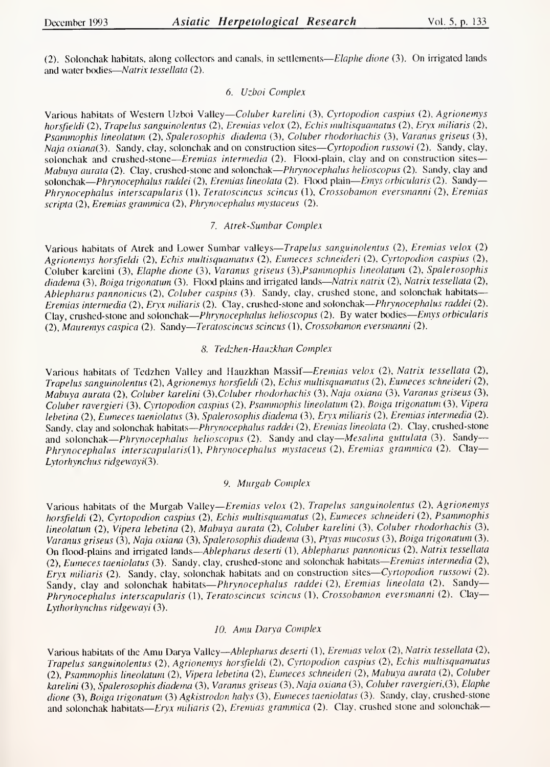(2). Solonchak habitats, along collectors and canals, in settlements—Elaphe dione (3). On irrigated lands and water bodies-Natrix tessellata (2).

## 6. Uzboi Complex

Various habitats of Western Uzboi Valley—Coluber karelini (3), Cyrtopodion caspius (2), Agrionemys horsfieldi (2), Trapelus sanguinolentus (2), Eremias velox (2), Echis multisquamatus (2), Eryx miliaris (2), Psammophis lineolatum (2), Spalerosophis diadema (3), Coluber rhodorhachis (3), Varanus griseus (3), Naja  $oxiana(3)$ . Sandy, clay, solonchak and on construction sites—Cyrtopodion russowi (2). Sandy, clay, solonchak and crushed-stone—Eremias intermedia (2). Flood-plain, clay and on construction sites— Mabuya aurata (2). Clay, crushed-stone and solonchak—*Phrynocephalus helioscopus* (2). Sandy, clay and solonchak—Phrynocephalus raddei (2), Eremias lineolata (2). Flood plain—Emys orbicularis (2). Sandy— Phrynocephalus interscapularis (1), Teratoscincus scincus (1), Crossobamon eversmanni (2), Eremias scripta (2), Eremias grammica (2), Phrynocephalus mystaceus (2).

#### 7. Atrek-Sumbar Complex

Various habitats of Atrek and Lower Sumbar valleys—Trapelus sanguinolentus (2), Eremias velox (2) Agrionemys horsfieldi (2), Echis multisquamatus (2), Eumeces schneideri (2), Cyrtopodion caspius (2), Coluber karelini (3), Elaphe dione (3), Varanus griseus (3),Psammophis lineolatum (2), Spalerosophis diadema (3), Boiga trigonatum (3). Flood plains and irrigated lands—Natrix natrix (2), Natrix tessellata (2), Ablepharus pannonicus (2), Coluber caspius (3). Sandy, clay, crushed stone, and solonchak habitats— Eremias intermedia (2), Eryx miliaris (2). Clay, crushed-stone and solonchak—Phrynocephalus raddei (2). Clay, crushed-stone and solonchak—Phrynocephalus helioscopus (2). By water bodies—Emys orbicularis (2), Mauremys caspica (2). Sandy—Teratoscincus scincus (1), Crossobamon eversmanni (2).

#### 8, Tedzhen-Hauzkhan Complex

Various habitats of Tedzhen Valley and Hauzkhan Massif—Eremias velox (2), Natrix tessellata (2), Trapelus sanguinolentus (2), Agrionemys horsfieldi (2), Echis multisquamatus (2), Eumeces schneideri (2), Mabuya aurata (2), Coluber karelini (3), Coluber rhodorhachis (3), Naja oxiana (3), Varanus griseus (3), Coluber ravergieri (3), Cyrtopodion caspius (2), Psammophis lineolatum (2), Boiga trigonatum (3), Vipera lebetina (2), Eumeces taeniolatus (3), Spalerosophis diadema (3), Eryx miliaris (2), Eremias intermedia (2). Sandy, clay and solonchak habitats—Phrynocephalus raddei (2), Eremias lineolata (2). Clay, crushed-stone and solonchak—*Phrynocephalus helioscopus* (2). Sandy and clay—*Mesalina guttulata* (3). Sandy— Phrynocephalus interscapularis(l), Phrynocephalus mystaceus (2), Eremias grammica (2). Clay— Lytorhynchus ridgewayi(3).

## 9. Murgab Complex

Various habitats of the Murgab Valley—Eremias velox (2), Trapelus sanguinolentus (2), Agrionemys horsfieldi (2), Cyrtopodion caspius (2), Echis multisquamatus (2), Eumeces schneideri (2), Psammophis lineolatum (2), Vipera lebetina (2), Mabuya aurata (2), Coluber karelini (3), Coluber rhodorhachis (3), Varanus griseus (3), Naja oxiana (3), Spalerosophis diadema (3), Ptyas mucosus (3), Boiga trigonatum (3). On flood-plains and irrigated lands—Ablepharus deserti (1), Ablepharus pannonicus (2), Natrix tessellata (2), Eumeces taeniolatus (3). Sandy, clay, crushed-stone and solonchak habitats—Eremias intermedia (2), Eryx miliaris (2). Sandy, clay, solonchak habitats and on construction sites—Cyrtopodion russowi (2). Sandy, clay and solonchak habitats—Phrynocephalus raddei (2), Eremias lineolata (2). Sandy— Phrynocephalus interscapularis (1), Teratoscincus scincus (I), Crossobamon eversmanni (2). Clay— Lythorhynchus ridgewayi (3).

#### 10. Amu Darya Complex

Various habitats of the Amu Darya Valley—Ablepharus deserti (1), Eremias velox (2), Natrix tessellata (2), Trapelus sanguinolentus (2), Agrionemys horsfieldi (2), Cyrtopodion caspius (2), Echis multisquamatus (2), Psammophis lineolatum (2), V/pera lebetina (2), Eumeces schneideri (2), Mabuya aurata (2), Coluber karelini (3), Spalerosophis diadema (3), Varanus griseus (3), Naja oxiana (3), Coluber ravergieri, (3), Elaphe dione (3), Boiga trigonatum (3) Agkistrodon halys (3), Eumeces taeniolatus (3). Sandy, clay, crushed-stone and solonchak habitats—*Eryx miliaris* (2), *Eremias grammica* (2). Clay, crushed stone and solonchak—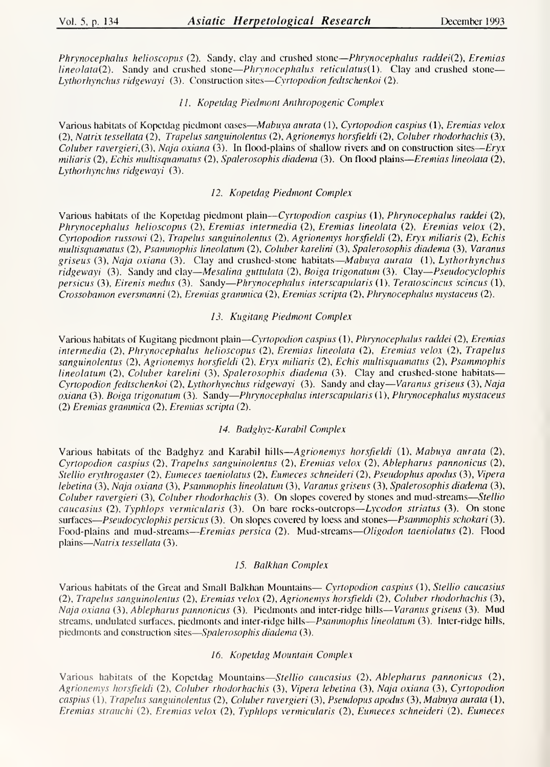Phrynocephalus helioscopus (2). Sandy, clay and crushed stone—Phrynocephalus raddei(2), Eremias  $lineolata(2)$ . Sandy and crushed stone—*Phrynocephalus reticulatus*(1). Clay and crushed stone— Lythorhynchus ridgewayi (3). Construction sites—Cyrtopodion fedtschenkoi (2).

## 77. Kopetdag Piedmont Anthropogenic Complex

Various habitats of Kopetdag piedmont oases—Mabuya aurata (1), Cyrtopodion caspius (1), Eremias velox (2), Natrix tessellata (2), Trapelus sanguinolentus (2), Agrionemys horsfieldi (2), Coluber rhodorhachis (3), Coluber ravergieri.(3), Naja oxiana (3). In flood-plains of shallow rivers and on construction sites—Eryx miliaris (2), Echis multisquamatus (2), Spalerosophis diadema (3). On flood plains—Eremias lineolata (2), Lythorhynchus ridgewayi (3).

## 12. Kopetdag Piedmont Complex

Various habitats of the Kopetdag piedmont plain—Cyrtopodion caspius (1), Phrynocephalus raddei (2), Phrynocephalus helioscopus (2), Eremias intermedia (2), Eremias lineolata (2), Eremias velox (2), Cyrtopodion russowi (2), Trapelus sanguinolentus (2), Agrionemys horsfieldi (2), Eryx miliaris (2), Echis multisquamatus (2), Psammophis lineolatum (2), Coluber karelini (3), Spalerosophis diadema (3), Varanus griseus (3), Naja oxiana (3). Clay and crushed-stone habitats—Mabuya aurata (1), Lythorhynchus ridgewayi (3). Sandy and clay—Mesalina guttulata (2), Boiga trigonatum (3). Clay—Pseudocyclophis persicus (3), Eirenis medus (3). Sandy—Phrynocephalus interscapularis (1), Teratoscincus scincus (1), Crossobamon eversmanni (2), Eremias grammica (2), Eremias scripta (2), Phrynocephalus mystaceus (2).

## 13. Kugitang Piedmont Complex

Various habitats of Kugitang piedmont plain—Cyrtopodion caspius (1), Phrynocephalus raddei (2), Eremias intermedia (2), Phrynocephalus helioscopus (2), Eremias lineolata (2), Eremias velox (2), Trapelus sanguinolentus (2), Agrionemys horsfieldi (2), Eryx miliaris (2), Echis multisquamatus (2), Psammophis lineolatum (2), Coluber karelini (3), Spalerosophis diadema (3). Clay and crushed-stone habitats— Cyrtopodion fedtschenkoi (2), Lythorhynchus ridgewayi (3). Sandy and clay—Varanus griseus (3), Naja oxiana (3). Boiga trigonatum (3). Sandy-Phrynocephalus interscapularis (1), Phrynocephalus mystaceus (2) Eremias grammica (2), Eremias scripta (2).

#### 74. Badghyz-Karabil Complex

Various habitats of the Badghyz and Karabil hills—Agrionemys horsfieldi (1), Mabuya aurata (2), Cyrtopodion caspius (2), Trapelus sanguinolentus (2), Eremias velox (2), Ablepharus pannonicus (2), Stellio erythrogaster (2), Eumeces taeniolatus (2), Eumeces schneideri (2), Pseudophus apodus (3), Vipera lebetina (3), Naja oxiana (3), Psammophis lineolatum (3), Varanus griseus (3), Spalerosophis diadema (3), Coluber ravergieri (3), Coluber rhodorhachis (3). On slopes covered by stones and mud-streams—Stellio caucasius (2), Typhlops vermicularis (3). On bare rocks-outcrops—Lycodon striatus (3). On stone surfaces—Pseudocyclophis persicus (3). On slopes covered by loess and stones—Psammophis schokari (3). Food-plains and mud-streams—Eremias persica (2). Mud-streams—Oligodon taeniolatus (2). Flood plains—Natrix tessellata (3).

#### 75. Balkhan Complex

Various habitats of the Great and Small Balkhan Mountains— Cyrtopodion caspius (1), Stellio caucasius (2), Trapelus sanguinolentus (2), Eremias velox (2), Agrionemys horsfieldi (2), Coluber rhodorhachis (3), Naja oxiana (3), Ablepharus pannonicus (3). Piedmonts and inter-ridge hills—Varanus griseus (3). Mud streams, undulated surfaces, piedmonts and inter-ridge hills—*Psammophis lineolatum* (3). Inter-ridge hills, piedmonts and construction sites—Spalerosophis diadema (3).

#### 76. Kopetdag Mountain Complex

Various habitats of the Kopetdag Mountains—Stellio caucasius (2), Ablepharus pannonicus (2), Agrionemys horsfieldi (2), Coluber rhodorhachis (3), Vipera lebetina (3), Naja oxiana (3), Cyrtopodion caspius (1), Trapelus sanguinolentus (2), Coluber ravergieri (3), Pseudopus apodus (3), Mabuya aurata (1), Eremias strauchi (2), Eremias velox (2), Typhlops vermicularis (2), Eumeces schneideri (2), Eumeces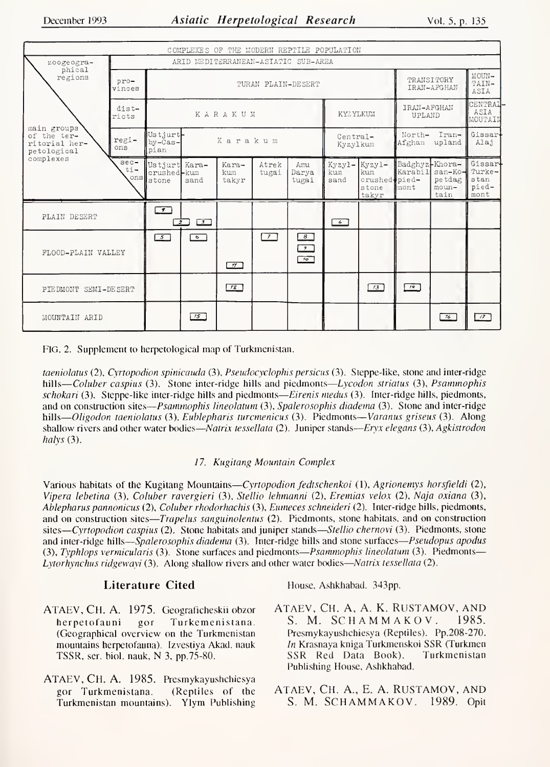| COMPLEXES OF THE MODERN REPTILE POPULATION                 |                         |                                            |                      |                       |                |                                             |                       |                                                  |                                     |                                          |                                 |  |  |
|------------------------------------------------------------|-------------------------|--------------------------------------------|----------------------|-----------------------|----------------|---------------------------------------------|-----------------------|--------------------------------------------------|-------------------------------------|------------------------------------------|---------------------------------|--|--|
| zoogeogra-<br>phical                                       |                         | ARID MEDITERRANEAN-ASIATIC SUB-AREA        |                      |                       |                |                                             |                       |                                                  |                                     |                                          |                                 |  |  |
| regions                                                    | pro-<br>vinces          | TURAN PLAIN-DESERT                         |                      |                       |                |                                             |                       |                                                  |                                     | TRANSITORY<br>IRAN-AFGHAN                |                                 |  |  |
|                                                            | dist-<br>ricts          |                                            |                      | KARAKUM               |                |                                             | KYZYLKUM              |                                                  | IRAN-AFGHAN<br>UPLAND               |                                          | CENTRAL<br>ASIA<br>MOUTAIN      |  |  |
| main groups<br>of the ter-<br>ritorial her-<br>petological | regi-<br>ons            | Ustiurt-<br>$by - \bar{c}$ as-<br>pian     |                      | Karakum               |                |                                             | Central-<br>Kyzylkum  |                                                  | North-<br>Iran-<br>Afghan<br>upland |                                          | Gissar<br>Alaj                  |  |  |
| complexes                                                  | $sec-$<br>$ti -$<br>ons | Ustjurt Kara-<br>crushed-kum<br>stone      | sand                 | Kara-<br>kum<br>takyr | Atrek<br>tugai | Amu<br>Darya<br>tugai                       | Kyzyl-<br>kum<br>sand | Kyzy1-<br>kum<br>crushed pied-<br>stone<br>takyr | Badghyz-Khora-<br>Karabil<br>mont   | san-Ko-Turke-<br>petdag<br>moun-<br>tain | Gissar<br>stan<br>pied-<br>mont |  |  |
| PLAIN DESERT                                               |                         | $\overline{\mathcal{F}}$<br>$\overline{z}$ | $\sqrt{3}$           |                       |                |                                             | $\overline{4}$        |                                                  |                                     |                                          |                                 |  |  |
| FLOOD-PLAIN VALLEY                                         |                         | $\boxed{5}$                                | $\overline{\bullet}$ | $\pi$                 | $\sqrt{7}$     | $\boxed{8}$<br>$\sqrt{2}$<br>$\frac{1}{10}$ |                       |                                                  |                                     |                                          |                                 |  |  |
| PIEDMONT SEMI-DESERT                                       |                         |                                            |                      | 72                    |                |                                             |                       | $\sqrt{3}$                                       | $\sqrt{14}$                         |                                          |                                 |  |  |
| MOUNTAIN ARID                                              |                         |                                            | 75                   |                       |                |                                             |                       |                                                  |                                     | 76                                       | $\sqrt{2}$                      |  |  |

FIG. 2. Supplement to herpetological map of Turkmenistan.

taeniolatus (2), Cyrtopodion spinicauda (3), Pseudocyclophis persicus (3). Steppe-like, stone and inter-ridge hills—Coluber caspius (3). Stone inter-ridge hills and piedmonts—Lycodon striatus (3), Psammophis schokari (3). Steppe-like inter-ridge hills and piedmonts—Eirenis medus (3). Inter-ridge hills, piedmonts, and on construction sites—Psammophis lineolatum (3), Spalerosophis diadema (3). Stone and inter-ridge hills—Oligodon taeniolatus (3), Eublepharis turcmenicus (3). Piedmonts—Varanus griseus (3). Along shallow rivers and other water bodies—Natrix tessellata (2). Juniper stands—Eryx elegans (3), Agkistrodon halys $(3)$ .

# 17. Kugitang Mountain Complex

Various habitats of the Kugitang Mountains—Cyrtopodion fedtschenkoi (1), Agrionemys horsfieldi (2), Vipera lebetina (3), Coluber ravergieri (3), Stellio lehmanni (2), Eremias velox (2), Naja oxiana (3), Ablepharus pannonicus (2), Coluber rhodorhachis (3), Eumeces schneideri (2). Inter-ridge hills, piedmonts, and on construction sites—*Trapelus sanguinolentus* (2). Piedmonts, stone habitats, and on construction sites—Cyrtopodion caspius (2). Stone habitats and juniper stands—Stellio chernovi (3). Piedmonts, stone and inter-ridge hills—Spalerosophis diadema (3). Inter-ridge hills and stone surfaces—Pseudopus apodus (3), Typhlops vermicularis (3). Stone surfaces and piedmonts—Psammophis lineolatum (3). Piedmonts— Lytorhynchus ridgewayi (3). Along shallow rivers and other water bodies—Natrix tessellata (2).

# Literature Cited

- ATAEV, CH. A. 1975. Geograficheskii obzor Turkemenistana. herpetofauni  $gor$ (Geographical overview on the Turkmenistan mountains herpetofauna). Izvestiya Akad. nauk TSSR, ser. biol. nauk, N 3, pp.75-80.
- ATAEV, CH. A. 1985. Presmykayushchiesya (Reptiles of the gor Turkmenistana. Turkmenistan mountains). Ylym Publishing

House, Ashkhabad. 343pp.

- ATAEV, CH. A, A. K. RUSTAMOV, AND S. M. SCHAMMAKOV. 1985. Presmykayushchiesya (Reptiles). Pp.208-270. In Krasnaya kniga Turkmenskoi SSR (Turkmen SSR Red Data Book). Turkmenistan Publishing House, Ashkhabad.
- ATAEV, CH. A., E. A. RUSTAMOV, AND S. M. SCHAMMAKOV. 1989. Opit